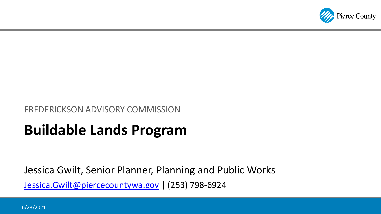

#### FREDERICKSON ADVISORY COMMISSION

# **Buildable Lands Program**

Jessica Gwilt, Senior Planner, Planning and Public Works [Jessica.Gwilt@piercecountywa.gov](mailto:Jessica.Gwilt@piercecountywa.gov) | (253) 798-6924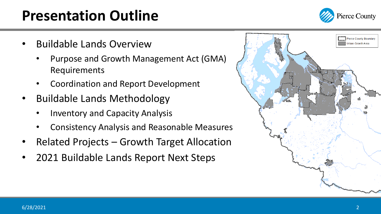# **Presentation Outline**



- Buildable Lands Overview
	- Purpose and Growth Management Act (GMA) Requirements
	- Coordination and Report Development
- Buildable Lands Methodology
	- Inventory and Capacity Analysis
	- Consistency Analysis and Reasonable Measures
- Related Projects Growth Target Allocation
- 2021 Buildable Lands Report Next Steps

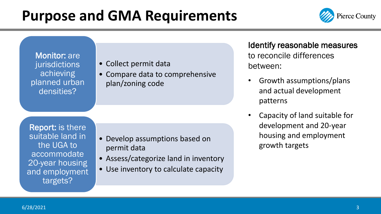## **Purpose and GMA Requirements**



Monitor: are jurisdictions achieving planned urban densities?

#### • Collect permit data

• Compare data to comprehensive plan/zoning code

Report: is there suitable land in the UGA to accommodate 20-year housing and employment targets?

- Develop assumptions based on permit data
- Assess/categorize land in inventory
- Use inventory to calculate capacity

Identify reasonable measures to reconcile differences between:

- Growth assumptions/plans and actual development patterns
- Capacity of land suitable for development and 20-year housing and employment growth targets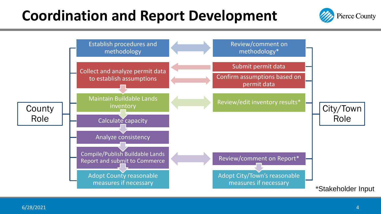## **Coordination and Report Development**



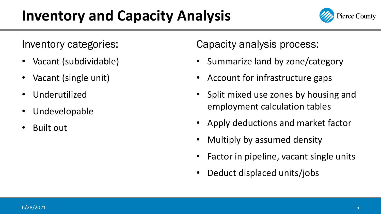# **Inventory and Capacity Analysis**



Inventory categories:

- Vacant (subdividable)
- Vacant (single unit)
- Underutilized
- Undevelopable
- Built out

Capacity analysis process:

- Summarize land by zone/category
- Account for infrastructure gaps
- Split mixed use zones by housing and employment calculation tables
- Apply deductions and market factor
- Multiply by assumed density
- Factor in pipeline, vacant single units
- Deduct displaced units/jobs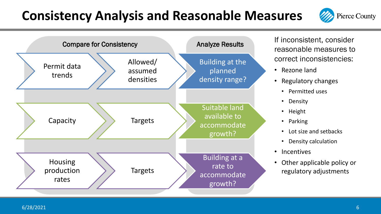### **Consistency Analysis and Reasonable Measures**





If inconsistent, consider reasonable measures to correct inconsistencies:

- Rezone land
- Regulatory changes
	- Permitted uses
	- Density
	- Height
	- Parking
	- Lot size and setbacks
	- Density calculation
- Incentives
- Other applicable policy or regulatory adjustments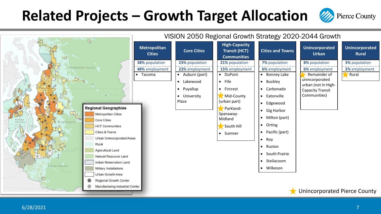### **Related Projects – Growth Target Allocation**



**Pierce County**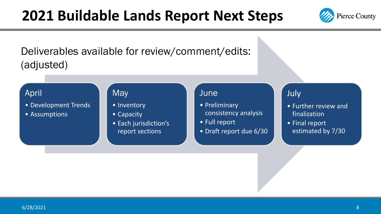### **2021 Buildable Lands Report Next Steps**



Deliverables available for review/comment/edits: (adjusted)

### April

- Development Trends
- Assumptions

#### **May**

- Inventory
- Capacity
- Each jurisdiction's report sections

#### June

- Preliminary consistency analysis
- Full report
- Draft report due 6/30

#### July

- Further review and finalization
- Final report estimated by 7/30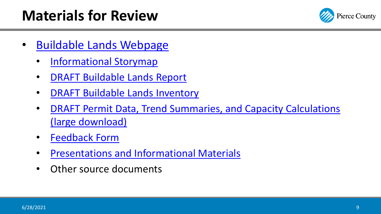# **Materials for Review**



- [Buildable Lands Webpage](https://www.piercecountywa.gov/923/Buildable-Lands)
	- [Informational Storymap](https://storymaps.arcgis.com/stories/8aa3e24cad68467a8ef8344c0e512bb8)
	- [DRAFT Buildable Lands Report](https://www.piercecountywa.gov/DocumentCenter/View/105705/DRAFT-Buildable-Lands-Report-FOR-REVIEW-692021)
	- [DRAFT Buildable Lands Inventory](https://piercecowa.maps.arcgis.com/apps/webappviewer/index.html?id=f662a8103cd3441bb169e013c03c4fef)
	- [DRAFT Permit Data, Trend Summaries, and Capacity Calculations](https://www.piercecountywa.gov/DocumentCenter/View/105636/01-DRAFT-Permit-Data-Trends-and-Capacity-Calculation-Workbook-All-Jurisdictions-updated-692021) (large download)
	- [Feedback Form](https://arcg.is/005ejP)
	- [Presentations and Informational Materials](https://www.piercecountywa.gov/DocumentCenter/Index/4726)
	- Other source documents